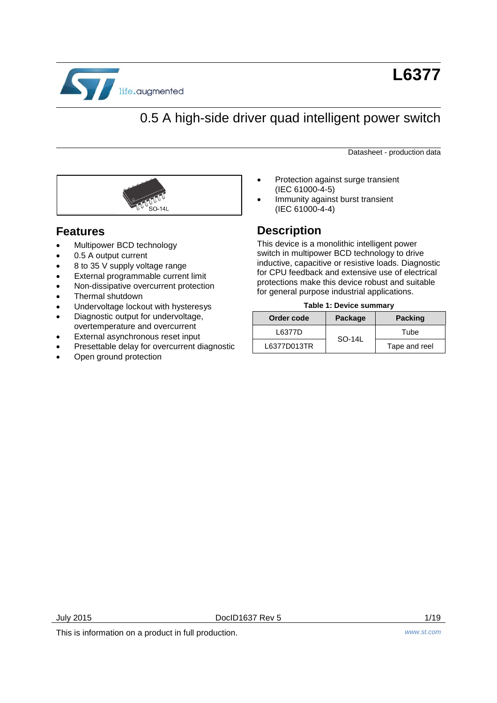

# 0.5 A high-side driver quad intelligent power switch

Datasheet - production data



#### **Features**

- Multipower BCD technology
- 0.5 A output current
- 8 to 35 V supply voltage range
- External programmable current limit
- Non-dissipative overcurrent protection
- Thermal shutdown
- Undervoltage lockout with hysteresys
- Diagnostic output for undervoltage,
- overtemperature and overcurrent
- External asynchronous reset input
- Presettable delay for overcurrent diagnostic
- Open ground protection
- Protection against surge transient (IEC 61000-4-5)
- Immunity against burst transient (IEC 61000-4-4)

### **Description**

This device is a monolithic intelligent power switch in multipower BCD technology to drive inductive, capacitive or resistive loads. Diagnostic for CPU feedback and extensive use of electrical protections make this device robust and suitable for general purpose industrial applications.

#### **Table 1: Device summary**

<span id="page-0-0"></span>

| Order code  | Package | <b>Packing</b> |  |
|-------------|---------|----------------|--|
| L6377D      | SO-14L  | Tube           |  |
| L6377D013TR |         | Tape and reel  |  |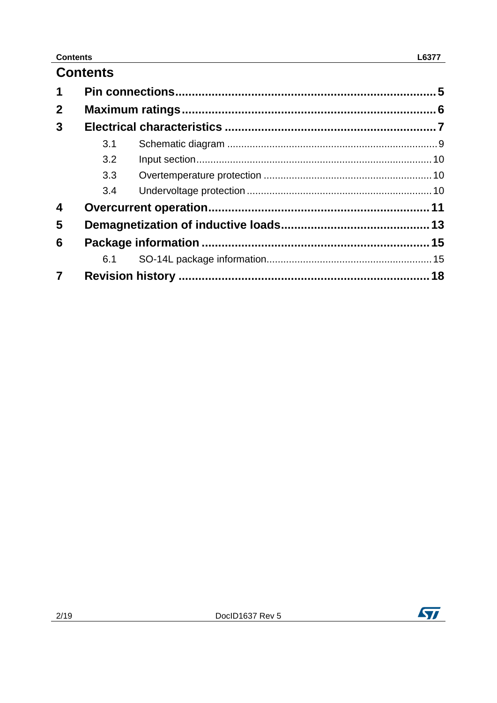# **Contents**

| 1                       |     |  |    |  |  |
|-------------------------|-----|--|----|--|--|
| $\overline{2}$          |     |  |    |  |  |
| 3                       |     |  |    |  |  |
|                         | 3.1 |  |    |  |  |
|                         | 3.2 |  |    |  |  |
|                         | 3.3 |  |    |  |  |
|                         | 3.4 |  |    |  |  |
| $\boldsymbol{4}$        |     |  |    |  |  |
| 5                       |     |  |    |  |  |
| 6                       |     |  |    |  |  |
|                         | 6.1 |  |    |  |  |
| $\overline{\mathbf{z}}$ |     |  | 18 |  |  |

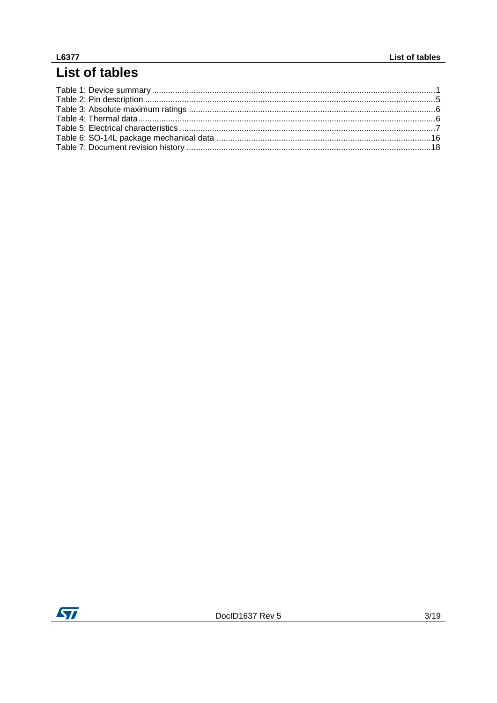# L6377<br>List of tables

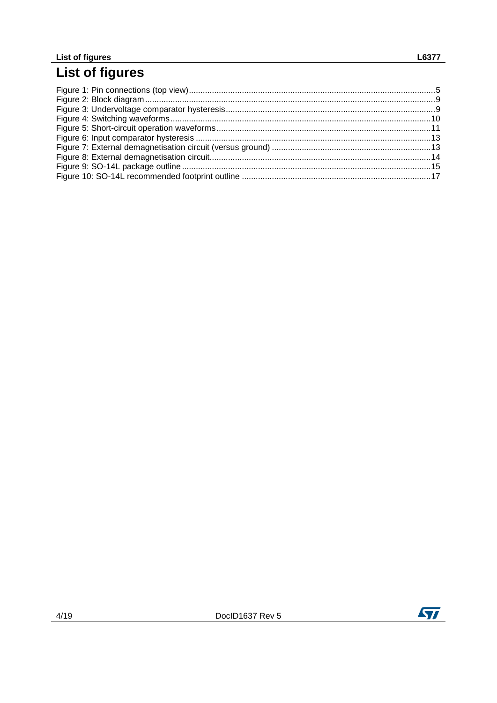# List of figures

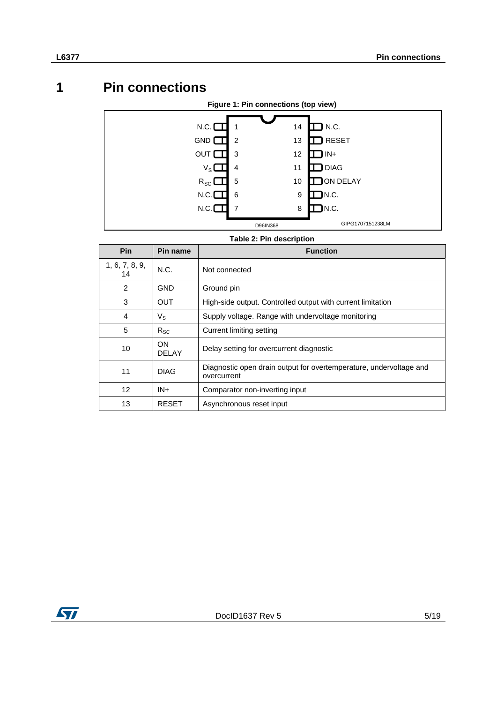# **1 Pin connections**

<span id="page-4-2"></span><span id="page-4-0"></span>

<span id="page-4-1"></span>

| <b>Pin</b>           | Pin name     | <b>Function</b>                                                                   |
|----------------------|--------------|-----------------------------------------------------------------------------------|
| 1, 6, 7, 8, 9,<br>14 | N.C.         | Not connected                                                                     |
| 2                    | GND          | Ground pin                                                                        |
| 3                    | OUT          | High-side output. Controlled output with current limitation                       |
| 4                    | $V_{\rm S}$  | Supply voltage. Range with undervoltage monitoring                                |
| 5                    | $R_{SC}$     | Current limiting setting                                                          |
| 10                   | ON.<br>DELAY | Delay setting for overcurrent diagnostic                                          |
| 11                   | <b>DIAG</b>  | Diagnostic open drain output for overtemperature, undervoltage and<br>overcurrent |
| $12 \overline{ }$    | $IN +$       | Comparator non-inverting input                                                    |
| 13                   | <b>RESET</b> | Asynchronous reset input                                                          |

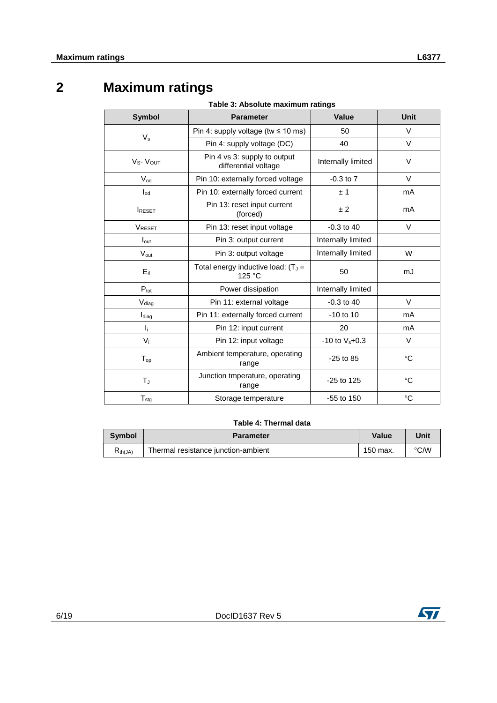# **2 Maximum ratings**

**Table 3: Absolute maximum ratings**

<span id="page-5-1"></span><span id="page-5-0"></span>

| <b>Symbol</b>                    | <b>Parameter</b>                                                           | Value                  | Unit   |
|----------------------------------|----------------------------------------------------------------------------|------------------------|--------|
|                                  | Pin 4: supply voltage (tw $\leq 10$ ms)                                    | 50                     | V      |
| $V_{s}$                          | Pin 4: supply voltage (DC)                                                 | 40                     | $\vee$ |
| V <sub>S</sub> -V <sub>OUT</sub> | Pin 4 vs 3: supply to output<br>Internally limited<br>differential voltage |                        | $\vee$ |
| $V_{od}$                         | Pin 10: externally forced voltage                                          | $-0.3$ to $7$          | V      |
| $I_{od}$                         | Pin 10: externally forced current                                          | ±1                     | mA     |
| <b>IRESET</b>                    | Pin 13: reset input current<br>(forced)                                    | ±2                     | mA     |
| <b>VRESET</b>                    | Pin 13: reset input voltage                                                | $-0.3$ to 40           | $\vee$ |
| $I_{\text{out}}$                 | Pin 3: output current<br>Internally limited                                |                        |        |
| $V_{\text{out}}$                 | Internally limited<br>Pin 3: output voltage                                |                        | W      |
| $E_{\rm ii}$                     | Total energy inductive load: $(T_J =$<br>125 °C                            |                        | mJ     |
| $P_{\text{tot}}$                 | Power dissipation<br>Internally limited                                    |                        |        |
| V <sub>diag</sub>                | Pin 11: external voltage                                                   | $-0.3$ to 40<br>$\vee$ |        |
| Idiag                            | Pin 11: externally forced current                                          | $-10$ to 10            | mA     |
| $\mathbf{l}_{\rm i}$             | Pin 12: input current<br>20                                                |                        | mA     |
| $V_i$                            | Pin 12: input voltage<br>$-10$ to $V_s + 0.3$                              |                        | $\vee$ |
| $T_{op}$                         | Ambient temperature, operating<br>$-25$ to 85<br>range                     |                        | °C     |
| T                                | Junction tmperature, operating<br>-25 to 125<br>range                      |                        | °C     |
| $T_{\text{stq}}$                 | °C<br>$-55$ to 150<br>Storage temperature                                  |                        |        |

#### **Table 4: Thermal data**

<span id="page-5-2"></span>

| Symbol       | <b>Parameter</b>                    | Value    | Unit |
|--------------|-------------------------------------|----------|------|
| $R_{th(JA)}$ | Thermal resistance junction-ambient | 150 max. | °C⁄W |

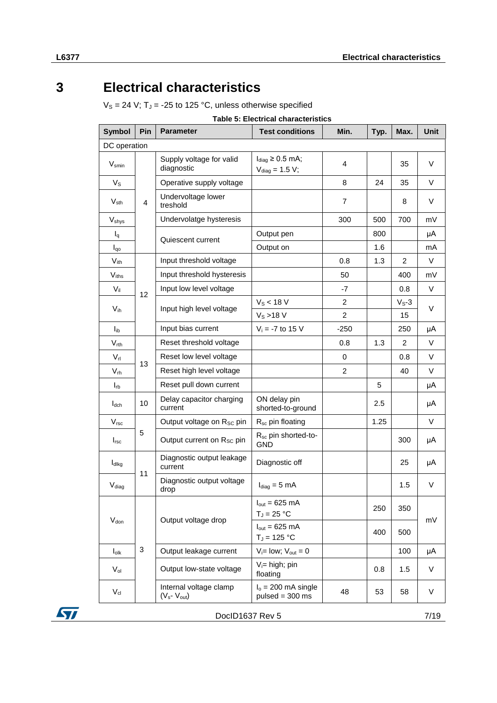# **3 Electrical characteristics**

<span id="page-6-0"></span> $V_S = 24$  V; T<sub>J</sub> = -25 to 125 °C, unless otherwise specified

**Table 5: Electrical characteristics** 

<span id="page-6-1"></span>

| <b>Symbol</b>     | Pin            | <b>Parameter</b>                              | <b>Test conditions</b>                                | Min.           | Typ. | Max.           | Unit   |
|-------------------|----------------|-----------------------------------------------|-------------------------------------------------------|----------------|------|----------------|--------|
| DC operation      |                |                                               |                                                       |                |      |                |        |
| $V_{smin}$        |                | Supply voltage for valid<br>diagnostic        | $I_{diag} \geq 0.5$ mA;<br>$V_{\text{diag}} = 1.5 V;$ | 4              |      | 35             | V      |
| $V_{\rm S}$       |                | Operative supply voltage                      |                                                       | 8              | 24   | 35             | $\vee$ |
| $V_{\sf sth}$     | $\overline{4}$ | Undervoltage lower<br>treshold                |                                                       | $\overline{7}$ |      | 8              | V      |
| $V_{\text{shys}}$ |                | Undervolatge hysteresis                       |                                                       | 300            | 500  | 700            | mV     |
| $I_q$             |                | Quiescent current                             | Output pen                                            |                | 800  |                | μA     |
| $I_{q0}$          |                |                                               | Output on                                             |                | 1.6  |                | mA     |
| $V_{\text{ith}}$  |                | Input threshold voltage                       |                                                       | 0.8            | 1.3  | $\overline{c}$ | V      |
| $V_{iths}$        |                | Input threshold hysteresis                    |                                                       | 50             |      | 400            | mV     |
| $V_{il}$          | 12             | Input low level voltage                       |                                                       | -7             |      | 0.8            | V      |
| $V_{ih}$          |                | Input high level voltage                      | $V_s < 18 V$                                          | $\overline{2}$ |      | $V_S-3$        | V      |
|                   |                |                                               | $V_S > 18 V$                                          | $\overline{c}$ |      | 15             |        |
| $I_{ib}$          |                | Input bias current                            | $V_i = -7$ to 15 V                                    | $-250$         |      | 250            | μA     |
| $V_{rth}$         |                | Reset threshold voltage                       |                                                       | 0.8            | 1.3  | 2              | $\vee$ |
| $V_{rl}$          | 13             | Reset low level voltage                       |                                                       | 0              |      | 0.8            | V      |
| $V_{rh}$          |                | Reset high level voltage                      |                                                       | $\overline{2}$ |      | 40             | V      |
| $I_{rb}$          |                | Reset pull down current                       |                                                       |                | 5    |                | μA     |
| $I_{dch}$         | 10             | Delay capacitor charging<br>current           | ON delay pin<br>shorted-to-ground                     |                | 2.5  |                | μA     |
| V <sub>rsc</sub>  |                | Output voltage on Rsc pin                     | R <sub>sc</sub> pin floating                          |                | 1.25 |                | $\vee$ |
| I <sub>rsc</sub>  | 5              | Output current on R <sub>sc</sub> pin         | R <sub>sc</sub> pin shorted-to-<br><b>GND</b>         |                |      | 300            | μA     |
| ldlkg             |                | Diagnostic output leakage<br>current          | Diagnostic off                                        |                |      | 25             | μA     |
| V <sub>diag</sub> | 11             | Diagnostic output voltage<br>drop             | $I_{diag} = 5$ mA                                     |                |      | 1.5            | V      |
|                   |                |                                               | $I_{\text{out}} = 625 \text{ mA}$<br>$T_J = 25 °C$    |                | 250  | 350            |        |
| $V_{don}$         |                | Output voltage drop                           | $I_{\text{out}} = 625 \text{ mA}$<br>$T_J = 125 °C$   |                | 400  | 500            | mV     |
| $I_{0lk}$         | $\mathbf{3}$   | Output leakage current                        | $V_i = Iow$ ; $V_{out} = 0$                           |                |      | 100            | μA     |
| $V_{ol}$          |                | Output low-state voltage                      | $V_i$ = high; pin<br>floating                         |                | 0.8  | 1.5            | V      |
| $V_{\text{cl}}$   |                | Internal voltage clamp<br>$(V_s$ - $V_{out})$ | $Io = 200$ mA single<br>$pulsed = 300 ms$             | 48             | 53   | 58             | V      |

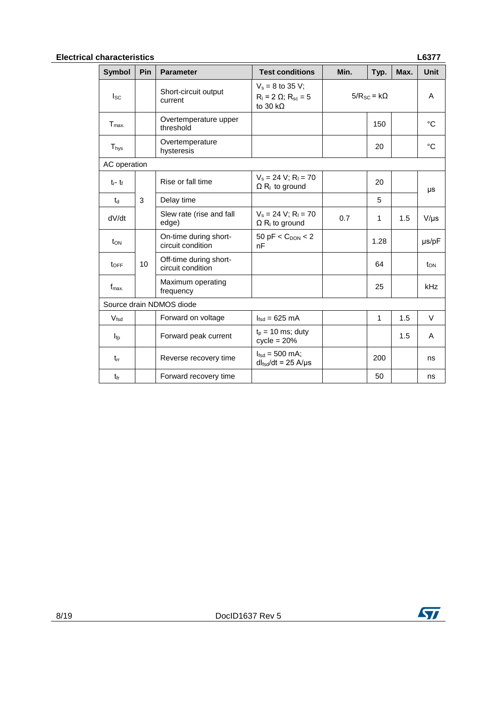#### **Electrical characteristics L6377**

| <b>Symbol</b>    | Pin                      | <b>Parameter</b>                            | <b>Test conditions</b>                                                    | Min.                    | Typ. | Max. | <b>Unit</b> |
|------------------|--------------------------|---------------------------------------------|---------------------------------------------------------------------------|-------------------------|------|------|-------------|
| $_{\rm lsc}$     |                          | Short-circuit output<br>current             | $V_s = 8$ to 35 V;<br>$R_1 = 2 \Omega$ ; $R_{sc} = 5$<br>to 30 k $\Omega$ | $5/R_{SC}$ = k $\Omega$ |      | A    |             |
| $T_{max.}$       |                          | Overtemperature upper<br>threshold          |                                                                           |                         | 150  |      | °C          |
| $T_{\text{hys}}$ |                          | Overtemperature<br>hysteresis               |                                                                           |                         | 20   |      | °C          |
| AC operation     |                          |                                             |                                                                           |                         |      |      |             |
| $t_f - t_f$      |                          | Rise or fall time                           | $V_s = 24 V; R_1 = 70$<br>$\Omega$ R <sub>i</sub> to ground               |                         | 20   |      | μs          |
| $t_d$            | 3                        | Delay time                                  |                                                                           |                         | 5    |      |             |
| dV/dt            |                          | Slew rate (rise and fall<br>edge)           | $V_s = 24 V$ ; R <sub>1</sub> = 70<br>$\Omega$ R <sub>i</sub> to ground   | 0.7                     | 1    | 1.5  | $V/\mu s$   |
| $t_{ON}$         |                          | On-time during short-<br>circuit condition  | $50$ pF < $C_{\text{DON}}$ < 2<br>nF                                      |                         | 1.28 |      | µs/pF       |
| $t_{\text{OFF}}$ | 10 <sup>1</sup>          | Off-time during short-<br>circuit condition |                                                                           |                         | 64   |      | ton         |
| $f_{\text{max}}$ |                          | Maximum operating<br>frequency              |                                                                           |                         | 25   |      | kHz         |
|                  | Source drain NDMOS diode |                                             |                                                                           |                         |      |      |             |
| V <sub>fsd</sub> |                          | Forward on voltage                          | $Ifsd = 625 mA$                                                           |                         | 1    | 1.5  | V           |
| $I_{\text{fp}}$  |                          | Forward peak current                        | $t_p = 10$ ms; duty<br>$cycle = 20%$                                      |                         |      | 1.5  | A           |
| $t_{rr}$         |                          | Reverse recovery time                       | $I_{\text{fsd}} = 500 \text{ mA}$ ;<br>$dl_{fsd}/dt = 25$ A/µs            |                         | 200  |      | ns          |
| t <sub>fr</sub>  |                          | Forward recovery time                       |                                                                           |                         | 50   |      | ns          |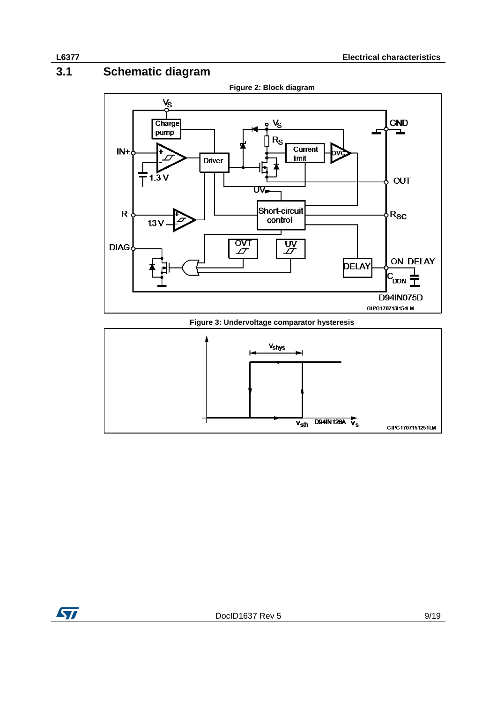# **3.1 Schematic diagram**

<span id="page-8-1"></span><span id="page-8-0"></span>

D94IN126A  $\sqrt{s}$ 

<span id="page-8-2"></span> $V_{\text{sth}}$ 

**Figure 2: Block diagram**



GIPG1707151251LM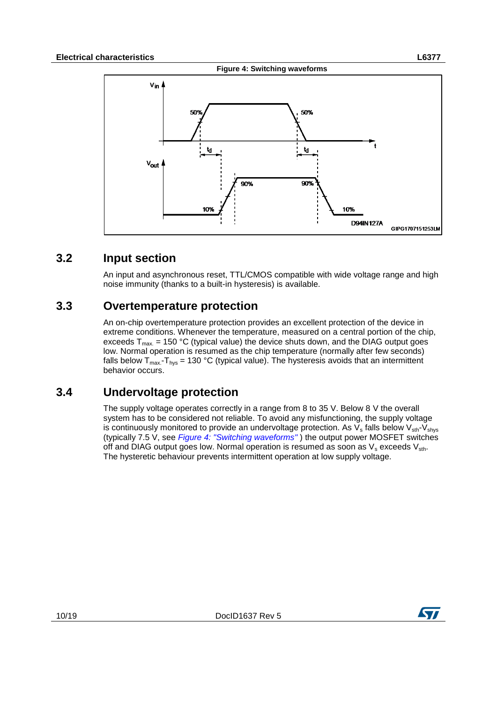<span id="page-9-3"></span>

10%

**D94IN127A** 

### **3.2 Input section**

<span id="page-9-0"></span>An input and asynchronous reset, TTL/CMOS compatible with wide voltage range and high noise immunity (thanks to a built-in hysteresis) is available.

#### **3.3 Overtemperature protection**

10%

<span id="page-9-1"></span>An on-chip overtemperature protection provides an excellent protection of the device in extreme conditions. Whenever the temperature, measured on a central portion of the chip, exceeds  $T_{\text{max}} = 150 \text{ °C}$  (typical value) the device shuts down, and the DIAG output goes low. Normal operation is resumed as the chip temperature (normally after few seconds) falls below  $T_{\text{max}}-T_{\text{hvs}} = 130 \text{ °C}$  (typical value). The hysteresis avoids that an intermittent behavior occurs.

### **3.4 Undervoltage protection**

<span id="page-9-2"></span>The supply voltage operates correctly in a range from 8 to 35 V. Below 8 V the overall system has to be considered not reliable. To avoid any misfunctioning, the supply voltage is continuously monitored to provide an undervoltage protection. As  $V_s$  falls below  $V_{\text{sth}}$ - $V_{\text{shvs}}$ (typically 7.5 V, see *[Figure 4: "Switching waveforms"](#page-9-3)* ) the output power MOSFET switches off and DIAG output goes low. Normal operation is resumed as soon as  $V_s$  exceeds  $V_{\text{sth}}$ . The hysteretic behaviour prevents intermittent operation at low supply voltage.



GIPG1707151253LM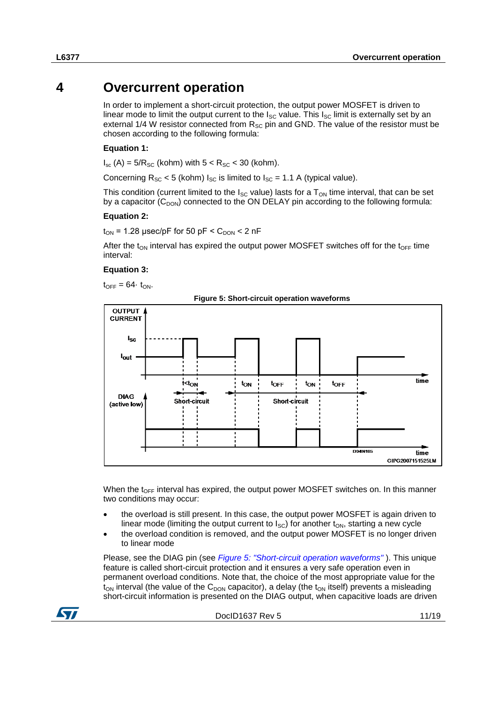# **4 Overcurrent operation**

<span id="page-10-0"></span>In order to implement a short-circuit protection, the output power MOSFET is driven to linear mode to limit the output current to the  $I_{SC}$  value. This  $I_{SC}$  limit is externally set by an external 1/4 W resistor connected from  $R_{SC}$  pin and GND. The value of the resistor must be chosen according to the following formula:

#### **Equation 1:**

 $I_{\text{sc}}$  (A) = 5/ $R_{\text{SC}}$  (kohm) with  $5 < R_{\text{SC}} < 30$  (kohm).

Concerning  $R_{SC}$  < 5 (kohm)  $I_{SC}$  is limited to  $I_{SC}$  = 1.1 A (typical value).

This condition (current limited to the  $I_{SC}$  value) lasts for a  $T_{ON}$  time interval, that can be set by a capacitor  $(C_{DOM})$  connected to the ON DELAY pin according to the following formula:

#### **Equation 2:**

 $t_{ON}$  = 1.28 µsec/pF for 50 pF <  $C_{DOM}$  < 2 nF

After the t<sub>ON</sub> interval has expired the output power MOSFET switches off for the t<sub>OFF</sub> time interval:

#### **Equation 3:**

 $t_{OFF} = 64 \cdot t_{ON}$ .



<span id="page-10-1"></span>

When the t<sub>OFF</sub> interval has expired, the output power MOSFET switches on. In this manner two conditions may occur:

- the overload is still present. In this case, the output power MOSFET is again driven to linear mode (limiting the output current to  $I_{SC}$ ) for another  $t_{ON}$ , starting a new cycle
- the overload condition is removed, and the output power MOSFET is no longer driven to linear mode

Please, see the DIAG pin (see *[Figure 5: "Short-circuit operation waveforms"](#page-10-1)* ). This unique feature is called short-circuit protection and it ensures a very safe operation even in permanent overload conditions. Note that, the choice of the most appropriate value for the  $t_{ON}$  interval (the value of the  $C_{DOM}$  capacitor), a delay (the  $t_{ON}$  itself) prevents a misleading short-circuit information is presented on the DIAG output, when capacitive loads are driven

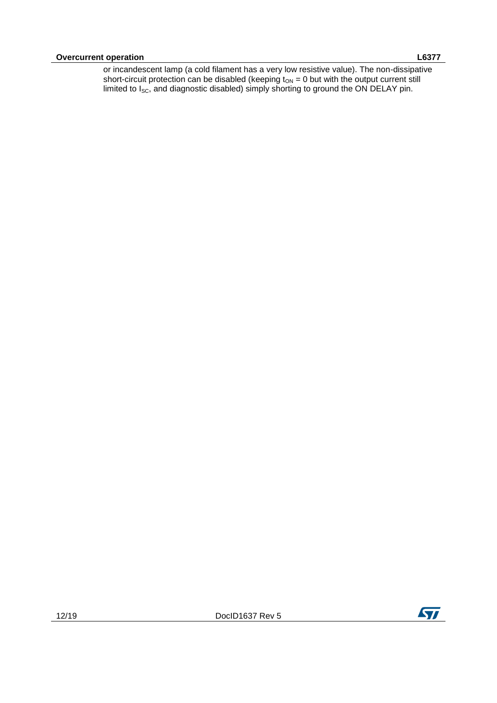or incandescent lamp (a cold filament has a very low resistive value). The non-dissipative short-circuit protection can be disabled (keeping  $t_{ON} = 0$  but with the output current still limited to  $I_{SC}$ , and diagnostic disabled) simply shorting to ground the ON DELAY pin.

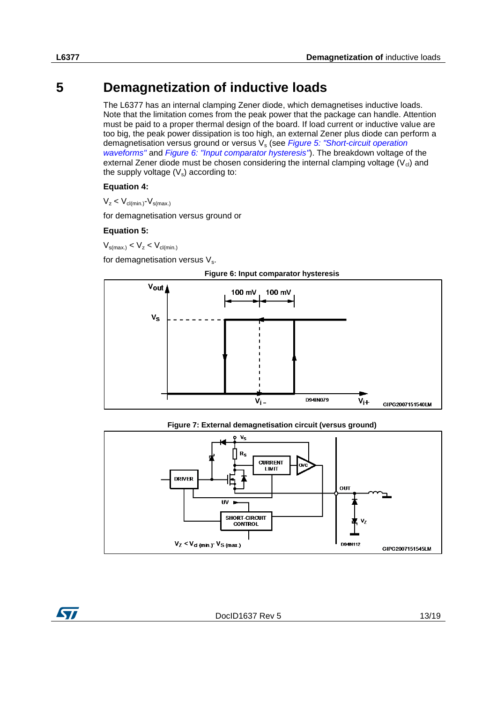# **5 Demagnetization of inductive loads**

<span id="page-12-0"></span>The L6377 has an internal clamping Zener diode, which demagnetises inductive loads. Note that the limitation comes from the peak power that the package can handle. Attention must be paid to a proper thermal design of the board. If load current or inductive value are too big, the peak power dissipation is too high, an external Zener plus diode can perform a demagnetisation versus ground or versus V<sup>s</sup> (see *[Figure 5: "Short-circuit operation](#page-10-1)  [waveforms"](#page-10-1)* and *[Figure 6: "Input comparator hysteresis"](#page-12-1)*). The breakdown voltage of the external Zener diode must be chosen considering the internal clamping voltage  $(V_{cl})$  and the supply voltage  $(V_s)$  according to:

#### **Equation 4:**

 $V_z < V_{\text{cl(min.)}} - V_{\text{s(max.)}}$ 

for demagnetisation versus ground or

#### **Equation 5:**

 $V_{\text{s(max)}} < V_{z} < V_{\text{cl(min)}}$ 

for demagnetisation versus  $V_s$ .



<span id="page-12-1"></span>

**Figure 7: External demagnetisation circuit (versus ground)**

<span id="page-12-2"></span>

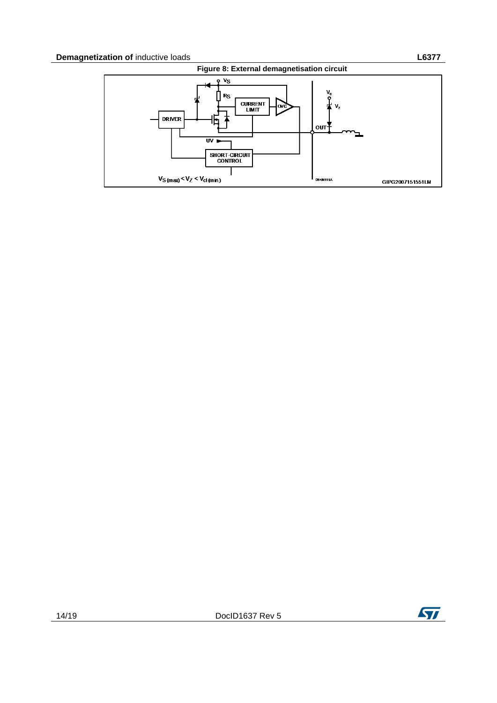<span id="page-13-0"></span>

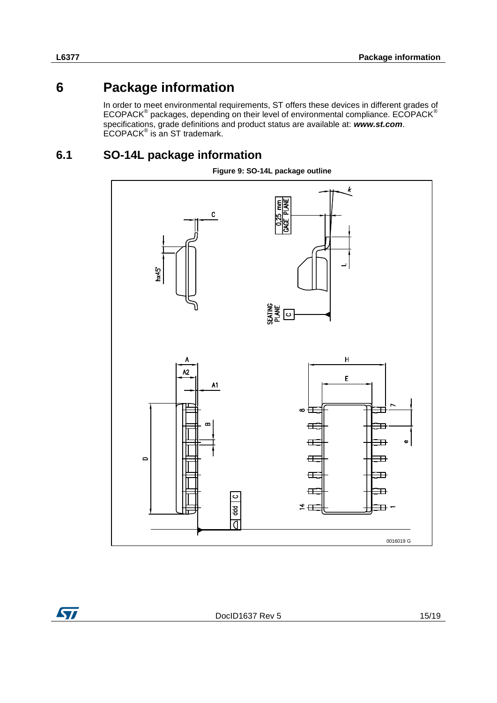# **6 Package information**

<span id="page-14-0"></span>In order to meet environmental requirements, ST offers these devices in different grades of ECOPACK<sup>®</sup> packages, depending on their level of environmental compliance. ECOPACK<sup>®</sup> specifications, grade definitions and product status are available at: *www.st.com*. ECOPACK® is an ST trademark.

## **6.1 SO-14L package information**

<span id="page-14-3"></span><span id="page-14-1"></span>

**Figure 9: SO-14L package outline**

<span id="page-14-2"></span>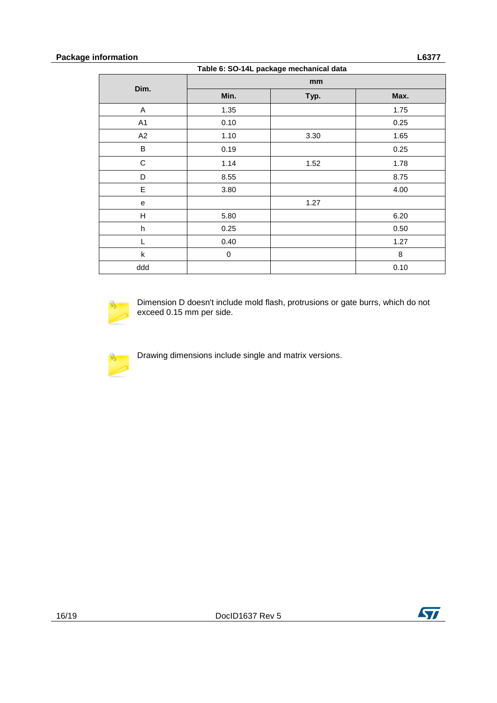#### **Package information L6377**

| Table 6. 30-14L package mechanical data |             |      |      |  |  |
|-----------------------------------------|-------------|------|------|--|--|
| Dim.                                    | mm          |      |      |  |  |
|                                         | Min.        | Typ. | Max. |  |  |
| A                                       | 1.35        |      | 1.75 |  |  |
| A1                                      | 0.10        |      | 0.25 |  |  |
| A2                                      | 1.10        | 3.30 | 1.65 |  |  |
| B                                       | 0.19        |      | 0.25 |  |  |
| $\mathsf C$                             | 1.14        | 1.52 | 1.78 |  |  |
| D                                       | 8.55        |      | 8.75 |  |  |
| $\mathsf E$                             | 3.80        |      | 4.00 |  |  |
| e                                       |             | 1.27 |      |  |  |
| H                                       | 5.80        |      | 6.20 |  |  |
| $\boldsymbol{\mathsf{h}}$               | 0.25        |      | 0.50 |  |  |
|                                         | 0.40        |      | 1.27 |  |  |
| k                                       | $\mathbf 0$ |      | 8    |  |  |
| ddd                                     |             |      | 0.10 |  |  |



Dimension D doesn't include mold flash, protrusions or gate burrs, which do not exceed 0.15 mm per side.

<span id="page-15-0"></span>

Drawing dimensions include single and matrix versions.

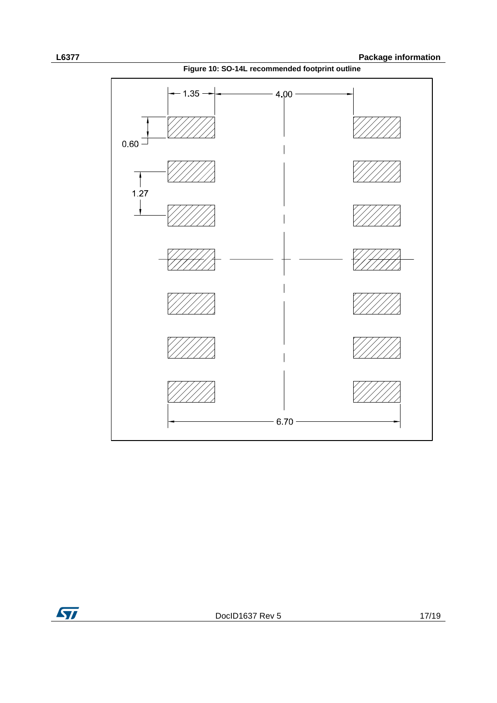**Figure 10: SO-14L recommended footprint outline**



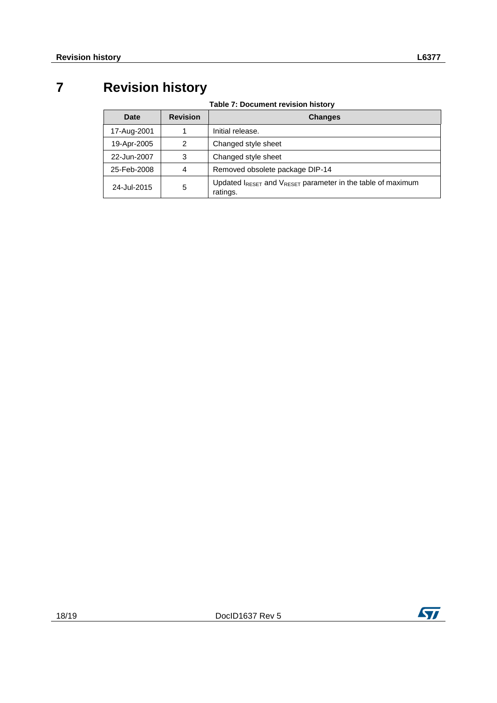# **7 Revision history**

**Table 7: Document revision history**

<span id="page-17-1"></span><span id="page-17-0"></span>

| Date        | <b>Revision</b> | <b>Changes</b>                                                                                  |
|-------------|-----------------|-------------------------------------------------------------------------------------------------|
| 17-Aug-2001 |                 | Initial release.                                                                                |
| 19-Apr-2005 | 2               | Changed style sheet                                                                             |
| 22-Jun-2007 | 3               | Changed style sheet                                                                             |
| 25-Feb-2008 | 4               | Removed obsolete package DIP-14                                                                 |
| 24-Jul-2015 | 5               | Updated $I_{\text{RESET}}$ and $V_{\text{RESET}}$ parameter in the table of maximum<br>ratings. |